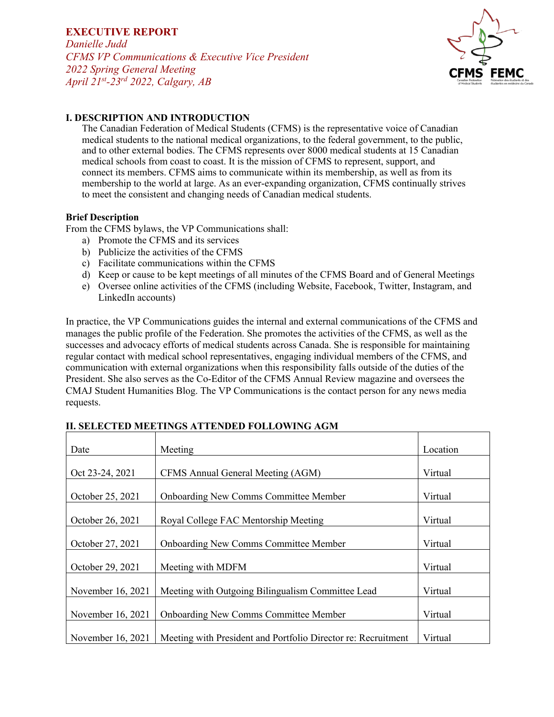*Danielle Judd CFMS VP Communications & Executive Vice President 2022 Spring General Meeting April 21st-23rd 2022, Calgary, AB*



### **I. DESCRIPTION AND INTRODUCTION**

The Canadian Federation of Medical Students (CFMS) is the representative voice of Canadian medical students to the national medical organizations, to the federal government, to the public, and to other external bodies. The CFMS represents over 8000 medical students at 15 Canadian medical schools from coast to coast. It is the mission of CFMS to represent, support, and connect its members. CFMS aims to communicate within its membership, as well as from its membership to the world at large. As an ever-expanding organization, CFMS continually strives to meet the consistent and changing needs of Canadian medical students.

#### **Brief Description**

From the CFMS bylaws, the VP Communications shall:

- a) Promote the CFMS and its services
- b) Publicize the activities of the CFMS
- c) Facilitate communications within the CFMS
- d) Keep or cause to be kept meetings of all minutes of the CFMS Board and of General Meetings
- e) Oversee online activities of the CFMS (including Website, Facebook, Twitter, Instagram, and LinkedIn accounts)

In practice, the VP Communications guides the internal and external communications of the CFMS and manages the public profile of the Federation. She promotes the activities of the CFMS, as well as the successes and advocacy efforts of medical students across Canada. She is responsible for maintaining regular contact with medical school representatives, engaging individual members of the CFMS, and communication with external organizations when this responsibility falls outside of the duties of the President. She also serves as the Co-Editor of the CFMS Annual Review magazine and oversees the CMAJ Student Humanities Blog. The VP Communications is the contact person for any news media requests.

| Date                | Meeting                                                       | Location |
|---------------------|---------------------------------------------------------------|----------|
| Oct 23-24, 2021     | CFMS Annual General Meeting (AGM)                             | Virtual  |
| October 25, 2021    | <b>Onboarding New Comms Committee Member</b>                  | Virtual  |
| October 26, 2021    | Royal College FAC Mentorship Meeting                          | Virtual  |
| October 27, 2021    | <b>Onboarding New Comms Committee Member</b>                  | Virtual  |
| October 29, 2021    | Meeting with MDFM                                             | Virtual  |
| November 16, 2021   | Meeting with Outgoing Bilingualism Committee Lead             | Virtual  |
| November 16, 2021   | <b>Onboarding New Comms Committee Member</b>                  | Virtual  |
| November $16, 2021$ | Meeting with President and Portfolio Director re: Recruitment | Virtual  |

### **II. SELECTED MEETINGS ATTENDED FOLLOWING AGM**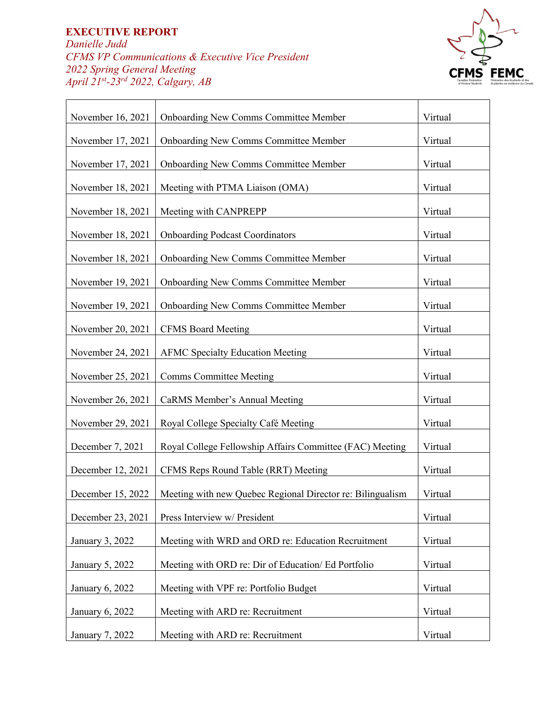*Danielle Judd CFMS VP Communications & Executive Vice President 2022 Spring General Meeting April 21st-23rd 2022, Calgary, AB*



| November 16, 2021 | <b>Onboarding New Comms Committee Member</b>               | Virtual |
|-------------------|------------------------------------------------------------|---------|
| November 17, 2021 | <b>Onboarding New Comms Committee Member</b>               | Virtual |
| November 17, 2021 | <b>Onboarding New Comms Committee Member</b>               | Virtual |
| November 18, 2021 | Meeting with PTMA Liaison (OMA)                            | Virtual |
| November 18, 2021 | Meeting with CANPREPP                                      | Virtual |
| November 18, 2021 | <b>Onboarding Podcast Coordinators</b>                     | Virtual |
| November 18, 2021 | <b>Onboarding New Comms Committee Member</b>               | Virtual |
| November 19, 2021 | <b>Onboarding New Comms Committee Member</b>               | Virtual |
| November 19, 2021 | <b>Onboarding New Comms Committee Member</b>               | Virtual |
| November 20, 2021 | <b>CFMS Board Meeting</b>                                  | Virtual |
| November 24, 2021 | <b>AFMC Specialty Education Meeting</b>                    | Virtual |
| November 25, 2021 | <b>Comms Committee Meeting</b>                             | Virtual |
| November 26, 2021 | CaRMS Member's Annual Meeting                              | Virtual |
| November 29, 2021 | Royal College Specialty Café Meeting                       | Virtual |
| December 7, 2021  | Royal College Fellowship Affairs Committee (FAC) Meeting   | Virtual |
| December 12, 2021 | CFMS Reps Round Table (RRT) Meeting                        | Virtual |
| December 15, 2022 | Meeting with new Quebec Regional Director re: Bilingualism | Virtual |
| December 23, 2021 | Press Interview w/ President                               | Virtual |
| January 3, 2022   | Meeting with WRD and ORD re: Education Recruitment         | Virtual |
| January 5, 2022   | Meeting with ORD re: Dir of Education/ Ed Portfolio        | Virtual |
| January 6, 2022   | Meeting with VPF re: Portfolio Budget                      | Virtual |
| January 6, 2022   | Meeting with ARD re: Recruitment                           | Virtual |
| January 7, 2022   | Meeting with ARD re: Recruitment                           | Virtual |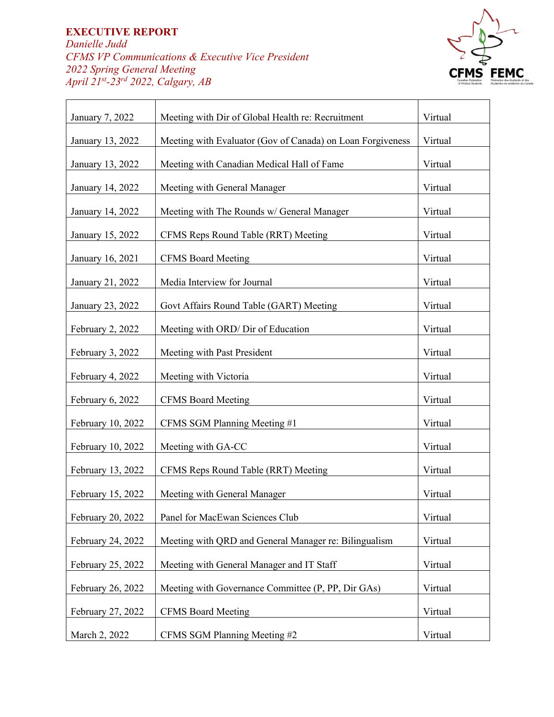*Danielle Judd CFMS VP Communications & Executive Vice President 2022 Spring General Meeting April 21st-23rd 2022, Calgary, AB*



| January 7, 2022   | Meeting with Dir of Global Health re: Recruitment          | Virtual |
|-------------------|------------------------------------------------------------|---------|
| January 13, 2022  | Meeting with Evaluator (Gov of Canada) on Loan Forgiveness | Virtual |
| January 13, 2022  | Meeting with Canadian Medical Hall of Fame                 | Virtual |
| January 14, 2022  | Meeting with General Manager                               | Virtual |
| January 14, 2022  | Meeting with The Rounds w/ General Manager                 | Virtual |
| January 15, 2022  | CFMS Reps Round Table (RRT) Meeting                        | Virtual |
| January 16, 2021  | <b>CFMS Board Meeting</b>                                  | Virtual |
| January 21, 2022  | Media Interview for Journal                                | Virtual |
| January 23, 2022  | Govt Affairs Round Table (GART) Meeting                    | Virtual |
| February 2, 2022  | Meeting with ORD/ Dir of Education                         | Virtual |
| February 3, 2022  | Meeting with Past President                                | Virtual |
| February 4, 2022  | Meeting with Victoria                                      | Virtual |
| February 6, 2022  | <b>CFMS Board Meeting</b>                                  | Virtual |
| February 10, 2022 | CFMS SGM Planning Meeting #1                               | Virtual |
| February 10, 2022 | Meeting with GA-CC                                         | Virtual |
| February 13, 2022 | CFMS Reps Round Table (RRT) Meeting                        | Virtual |
| February 15, 2022 | Meeting with General Manager                               | Virtual |
| February 20, 2022 | Panel for MacEwan Sciences Club                            | Virtual |
| February 24, 2022 | Meeting with QRD and General Manager re: Bilingualism      | Virtual |
| February 25, 2022 | Meeting with General Manager and IT Staff                  | Virtual |
| February 26, 2022 | Meeting with Governance Committee (P, PP, Dir GAs)         | Virtual |
| February 27, 2022 | <b>CFMS Board Meeting</b>                                  | Virtual |
| March 2, 2022     | CFMS SGM Planning Meeting #2                               | Virtual |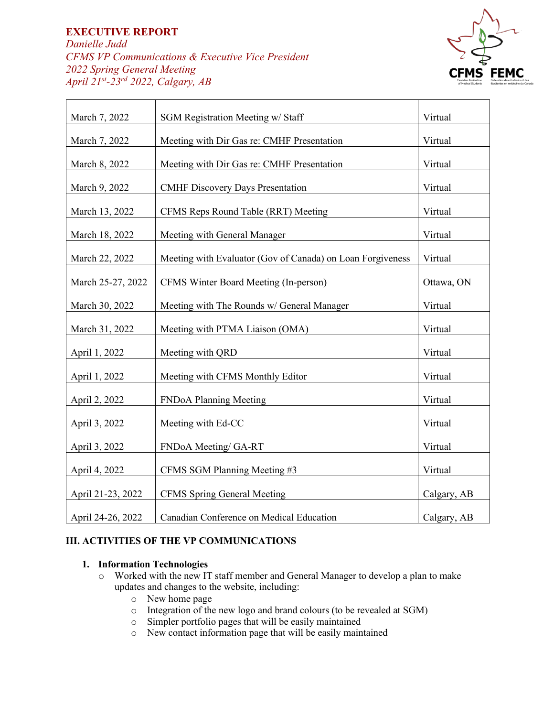$\overline{\Gamma}$ 

*Danielle Judd CFMS VP Communications & Executive Vice President 2022 Spring General Meeting April 21st-23rd 2022, Calgary, AB*

Τ



| March 7, 2022     | <b>SGM Registration Meeting w/ Staff</b>                   | Virtual     |
|-------------------|------------------------------------------------------------|-------------|
| March 7, 2022     | Meeting with Dir Gas re: CMHF Presentation                 | Virtual     |
| March 8, 2022     | Meeting with Dir Gas re: CMHF Presentation                 | Virtual     |
| March 9, 2022     | <b>CMHF Discovery Days Presentation</b>                    | Virtual     |
| March 13, 2022    | CFMS Reps Round Table (RRT) Meeting                        | Virtual     |
| March 18, 2022    | Meeting with General Manager                               | Virtual     |
| March 22, 2022    | Meeting with Evaluator (Gov of Canada) on Loan Forgiveness | Virtual     |
| March 25-27, 2022 | CFMS Winter Board Meeting (In-person)                      | Ottawa, ON  |
| March 30, 2022    | Meeting with The Rounds w/ General Manager                 | Virtual     |
| March 31, 2022    | Meeting with PTMA Liaison (OMA)                            | Virtual     |
| April 1, 2022     | Meeting with QRD                                           | Virtual     |
| April 1, 2022     | Meeting with CFMS Monthly Editor                           | Virtual     |
| April 2, 2022     | FNDoA Planning Meeting                                     | Virtual     |
| April 3, 2022     | Meeting with Ed-CC                                         | Virtual     |
| April 3, 2022     | FNDoA Meeting/GA-RT                                        | Virtual     |
| April 4, 2022     | CFMS SGM Planning Meeting #3                               | Virtual     |
| April 21-23, 2022 | <b>CFMS Spring General Meeting</b>                         | Calgary, AB |
| April 24-26, 2022 | Canadian Conference on Medical Education                   | Calgary, AB |

#### **III. ACTIVITIES OF THE VP COMMUNICATIONS**

#### **1. Information Technologies**

- o Worked with the new IT staff member and General Manager to develop a plan to make updates and changes to the website, including:
	- o New home page
	- o Integration of the new logo and brand colours (to be revealed at SGM)
	- o Simpler portfolio pages that will be easily maintained
	- o New contact information page that will be easily maintained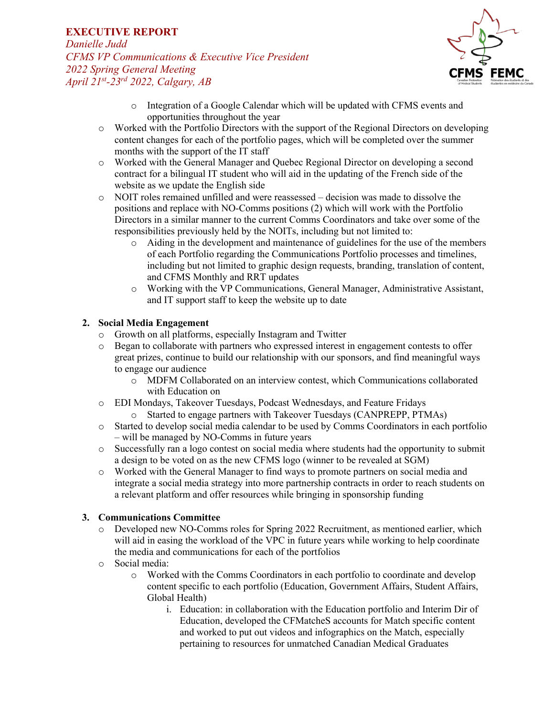*Danielle Judd CFMS VP Communications & Executive Vice President 2022 Spring General Meeting April 21st-23rd 2022, Calgary, AB*



- o Integration of a Google Calendar which will be updated with CFMS events and opportunities throughout the year
- o Worked with the Portfolio Directors with the support of the Regional Directors on developing content changes for each of the portfolio pages, which will be completed over the summer months with the support of the IT staff
- o Worked with the General Manager and Quebec Regional Director on developing a second contract for a bilingual IT student who will aid in the updating of the French side of the website as we update the English side
- o NOIT roles remained unfilled and were reassessed decision was made to dissolve the positions and replace with NO-Comms positions (2) which will work with the Portfolio Directors in a similar manner to the current Comms Coordinators and take over some of the responsibilities previously held by the NOITs, including but not limited to:
	- o Aiding in the development and maintenance of guidelines for the use of the members of each Portfolio regarding the Communications Portfolio processes and timelines, including but not limited to graphic design requests, branding, translation of content, and CFMS Monthly and RRT updates
	- o Working with the VP Communications, General Manager, Administrative Assistant, and IT support staff to keep the website up to date

### **2. Social Media Engagement**

- o Growth on all platforms, especially Instagram and Twitter
- o Began to collaborate with partners who expressed interest in engagement contests to offer great prizes, continue to build our relationship with our sponsors, and find meaningful ways to engage our audience
	- o MDFM Collaborated on an interview contest, which Communications collaborated with Education on
- o EDI Mondays, Takeover Tuesdays, Podcast Wednesdays, and Feature Fridays
	- o Started to engage partners with Takeover Tuesdays (CANPREPP, PTMAs)
- o Started to develop social media calendar to be used by Comms Coordinators in each portfolio – will be managed by NO-Comms in future years
- o Successfully ran a logo contest on social media where students had the opportunity to submit a design to be voted on as the new CFMS logo (winner to be revealed at SGM)
- o Worked with the General Manager to find ways to promote partners on social media and integrate a social media strategy into more partnership contracts in order to reach students on a relevant platform and offer resources while bringing in sponsorship funding

### **3. Communications Committee**

- o Developed new NO-Comms roles for Spring 2022 Recruitment, as mentioned earlier, which will aid in easing the workload of the VPC in future years while working to help coordinate the media and communications for each of the portfolios
- o Social media:
	- o Worked with the Comms Coordinators in each portfolio to coordinate and develop content specific to each portfolio (Education, Government Affairs, Student Affairs, Global Health)
		- i. Education: in collaboration with the Education portfolio and Interim Dir of Education, developed the CFMatcheS accounts for Match specific content and worked to put out videos and infographics on the Match, especially pertaining to resources for unmatched Canadian Medical Graduates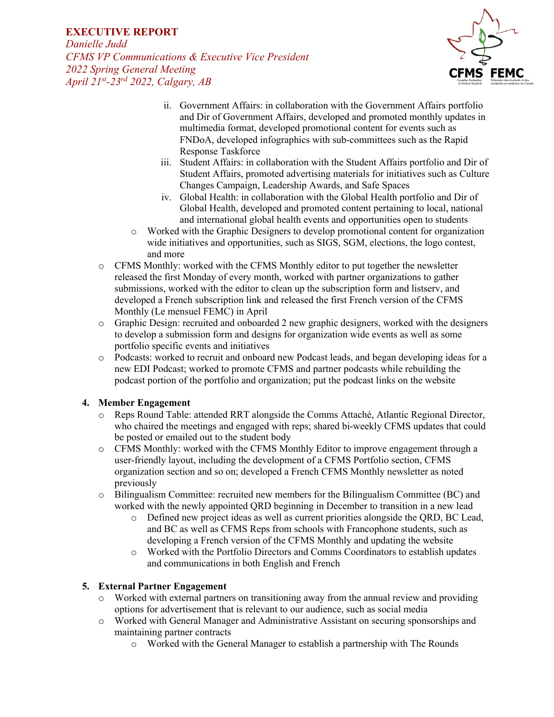*Danielle Judd CFMS VP Communications & Executive Vice President 2022 Spring General Meeting April 21st-23rd 2022, Calgary, AB*



- ii. Government Affairs: in collaboration with the Government Affairs portfolio and Dir of Government Affairs, developed and promoted monthly updates in multimedia format, developed promotional content for events such as FNDoA, developed infographics with sub-committees such as the Rapid Response Taskforce
- iii. Student Affairs: in collaboration with the Student Affairs portfolio and Dir of Student Affairs, promoted advertising materials for initiatives such as Culture Changes Campaign, Leadership Awards, and Safe Spaces
- iv. Global Health: in collaboration with the Global Health portfolio and Dir of Global Health, developed and promoted content pertaining to local, national and international global health events and opportunities open to students
- o Worked with the Graphic Designers to develop promotional content for organization wide initiatives and opportunities, such as SIGS, SGM, elections, the logo contest, and more
- o CFMS Monthly: worked with the CFMS Monthly editor to put together the newsletter released the first Monday of every month, worked with partner organizations to gather submissions, worked with the editor to clean up the subscription form and listserv, and developed a French subscription link and released the first French version of the CFMS Monthly (Le mensuel FEMC) in April
- $\circ$  Graphic Design: recruited and onboarded 2 new graphic designers, worked with the designers to develop a submission form and designs for organization wide events as well as some portfolio specific events and initiatives
- o Podcasts: worked to recruit and onboard new Podcast leads, and began developing ideas for a new EDI Podcast; worked to promote CFMS and partner podcasts while rebuilding the podcast portion of the portfolio and organization; put the podcast links on the website

### **4. Member Engagement**

- o Reps Round Table: attended RRT alongside the Comms Attaché, Atlantic Regional Director, who chaired the meetings and engaged with reps; shared bi-weekly CFMS updates that could be posted or emailed out to the student body
- o CFMS Monthly: worked with the CFMS Monthly Editor to improve engagement through a user-friendly layout, including the development of a CFMS Portfolio section, CFMS organization section and so on; developed a French CFMS Monthly newsletter as noted previously
- $\circ$  Bilingualism Committee: recruited new members for the Bilingualism Committee (BC) and worked with the newly appointed QRD beginning in December to transition in a new lead
	- o Defined new project ideas as well as current priorities alongside the QRD, BC Lead, and BC as well as CFMS Reps from schools with Francophone students, such as developing a French version of the CFMS Monthly and updating the website
	- o Worked with the Portfolio Directors and Comms Coordinators to establish updates and communications in both English and French

### **5. External Partner Engagement**

- o Worked with external partners on transitioning away from the annual review and providing options for advertisement that is relevant to our audience, such as social media
- o Worked with General Manager and Administrative Assistant on securing sponsorships and maintaining partner contracts
	- o Worked with the General Manager to establish a partnership with The Rounds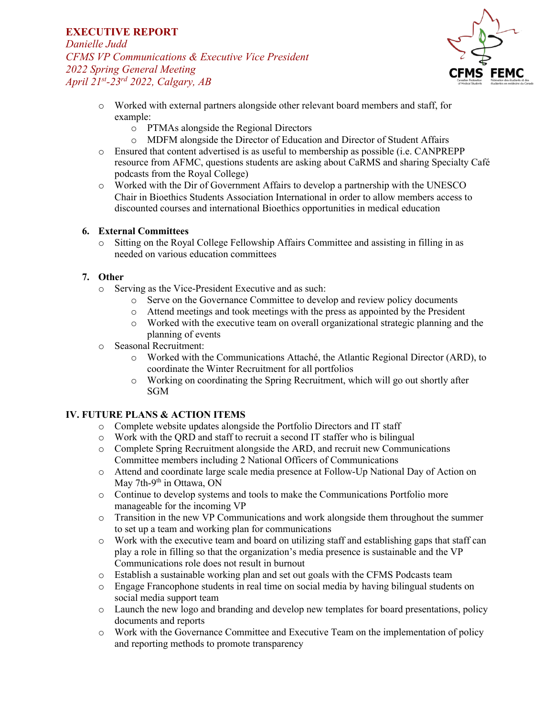*Danielle Judd CFMS VP Communications & Executive Vice President 2022 Spring General Meeting April 21st-23rd 2022, Calgary, AB*



- o Worked with external partners alongside other relevant board members and staff, for example:
	- o PTMAs alongside the Regional Directors
	- o MDFM alongside the Director of Education and Director of Student Affairs
- o Ensured that content advertised is as useful to membership as possible (i.e. CANPREPP resource from AFMC, questions students are asking about CaRMS and sharing Specialty Café podcasts from the Royal College)
- o Worked with the Dir of Government Affairs to develop a partnership with the UNESCO Chair in Bioethics Students Association International in order to allow members access to discounted courses and international Bioethics opportunities in medical education

### **6. External Committees**

o Sitting on the Royal College Fellowship Affairs Committee and assisting in filling in as needed on various education committees

## **7. Other**

- o Serving as the Vice-President Executive and as such:
	- o Serve on the Governance Committee to develop and review policy documents
	- o Attend meetings and took meetings with the press as appointed by the President
	- o Worked with the executive team on overall organizational strategic planning and the planning of events
- o Seasonal Recruitment:
	- o Worked with the Communications Attaché, the Atlantic Regional Director (ARD), to coordinate the Winter Recruitment for all portfolios
	- $\circ$  Working on coordinating the Spring Recruitment, which will go out shortly after SGM

### **IV. FUTURE PLANS & ACTION ITEMS**

- o Complete website updates alongside the Portfolio Directors and IT staff
- o Work with the QRD and staff to recruit a second IT staffer who is bilingual
- o Complete Spring Recruitment alongside the ARD, and recruit new Communications Committee members including 2 National Officers of Communications
- o Attend and coordinate large scale media presence at Follow-Up National Day of Action on May 7th-9<sup>th</sup> in Ottawa, ON
- o Continue to develop systems and tools to make the Communications Portfolio more manageable for the incoming VP
- o Transition in the new VP Communications and work alongside them throughout the summer to set up a team and working plan for communications
- o Work with the executive team and board on utilizing staff and establishing gaps that staff can play a role in filling so that the organization's media presence is sustainable and the VP Communications role does not result in burnout
- o Establish a sustainable working plan and set out goals with the CFMS Podcasts team
- o Engage Francophone students in real time on social media by having bilingual students on social media support team
- o Launch the new logo and branding and develop new templates for board presentations, policy documents and reports
- o Work with the Governance Committee and Executive Team on the implementation of policy and reporting methods to promote transparency